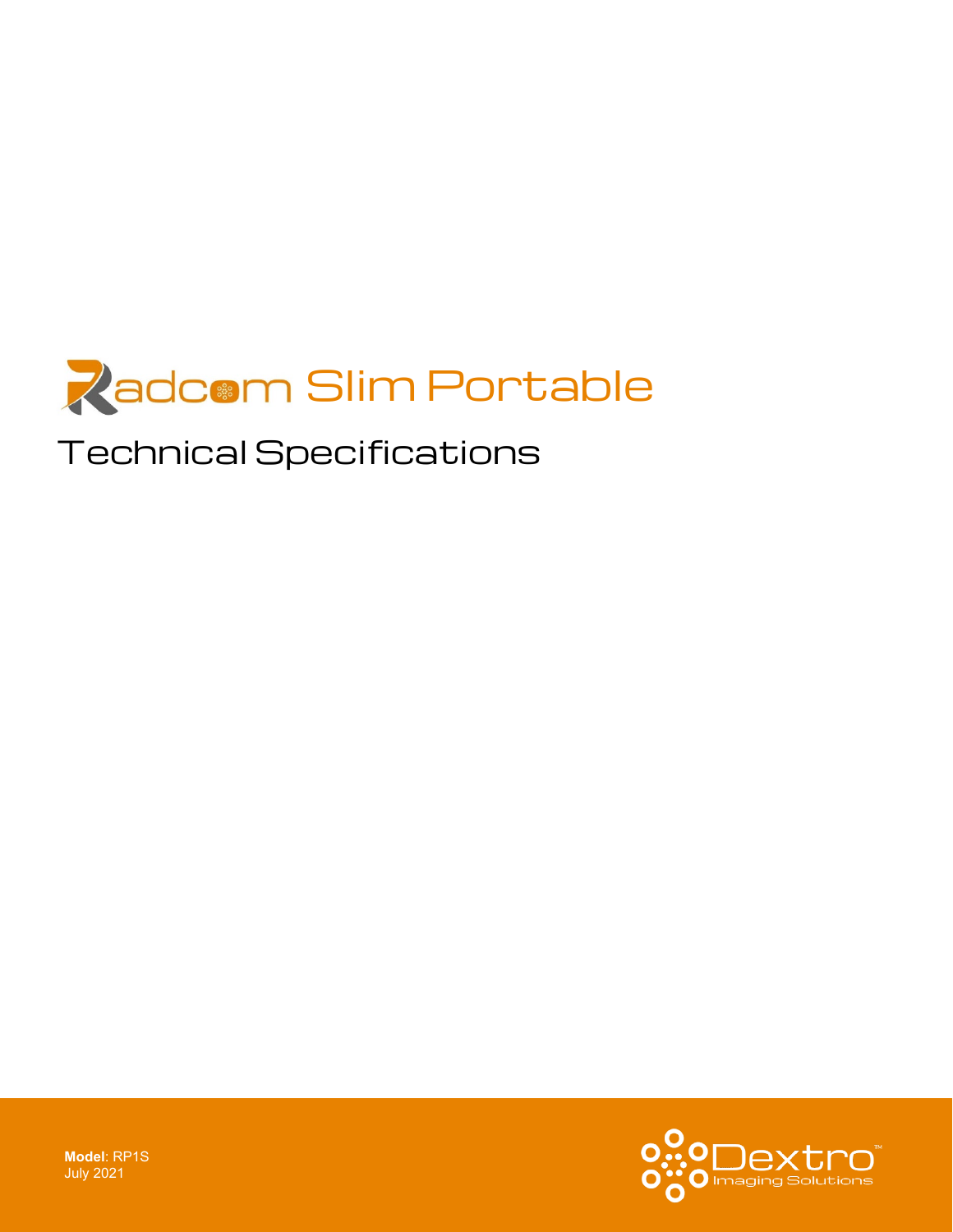

# Technical Specifications



**Model**: RP1S July 2021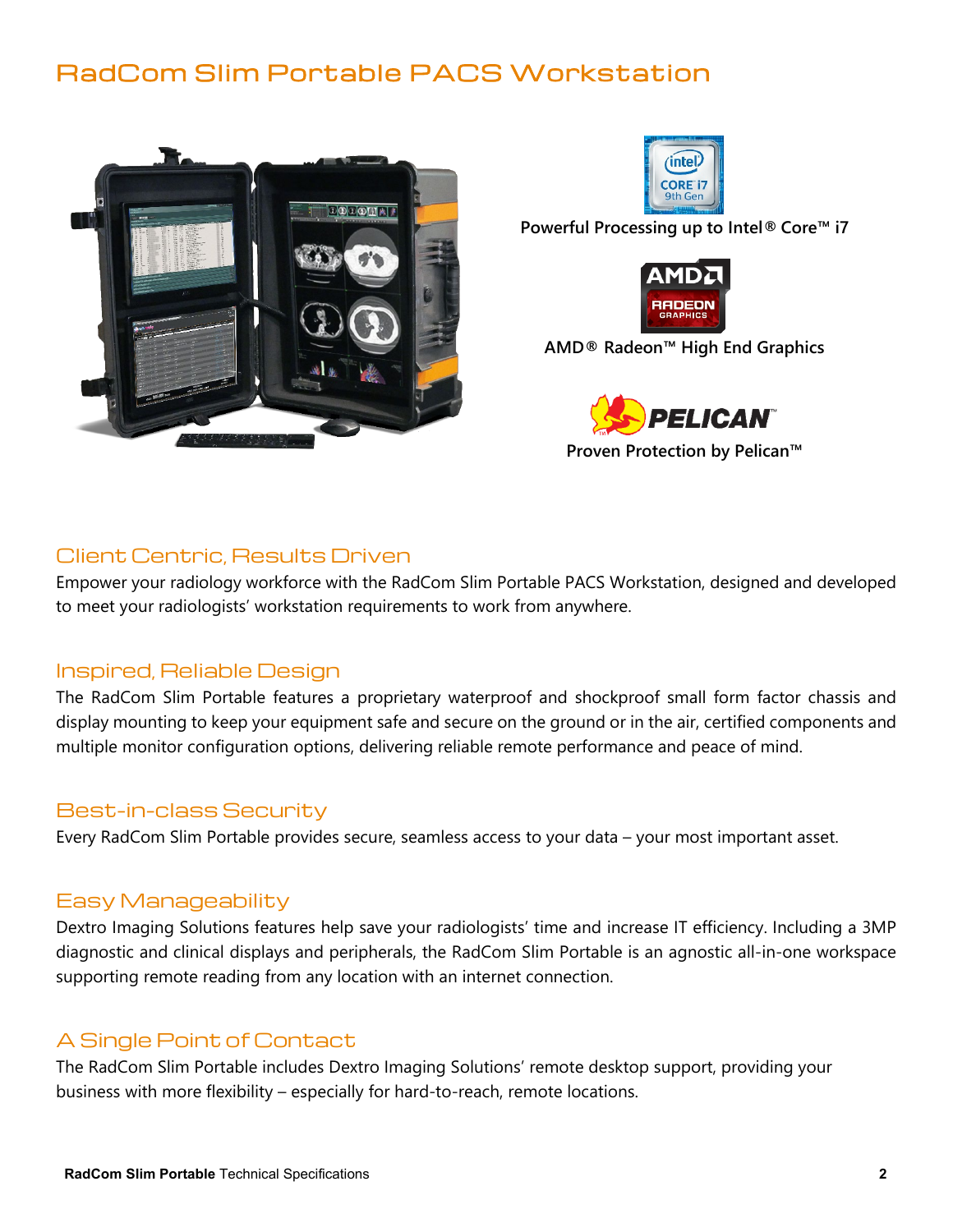# RadCom Slim Portable PACS Workstation





**Powerful Processing up to Intel® Core™ i7**



**AMD® Radeon™ High End Graphics**



**Proven Protection by Pelican™** 

## Client Centric, Results Driven

Empower your radiology workforce with the RadCom Slim Portable PACS Workstation, designed and developed to meet your radiologists' workstation requirements to work from anywhere.

#### Inspired, Reliable Design

The RadCom Slim Portable features a proprietary waterproof and shockproof small form factor chassis and display mounting to keep your equipment safe and secure on the ground or in the air, certified components and multiple monitor configuration options, delivering reliable remote performance and peace of mind.

## Best-in-class Security

Every RadCom Slim Portable provides secure, seamless access to your data – your most important asset.

#### Easy Manageability

Dextro Imaging Solutions features help save your radiologists' time and increase IT efficiency. Including a 3MP diagnostic and clinical displays and peripherals, the RadCom Slim Portable is an agnostic all-in-one workspace supporting remote reading from any location with an internet connection.

## A Single Point of Contact

The RadCom Slim Portable includes Dextro Imaging Solutions' remote desktop support, providing your business with more flexibility – especially for hard-to-reach, remote locations.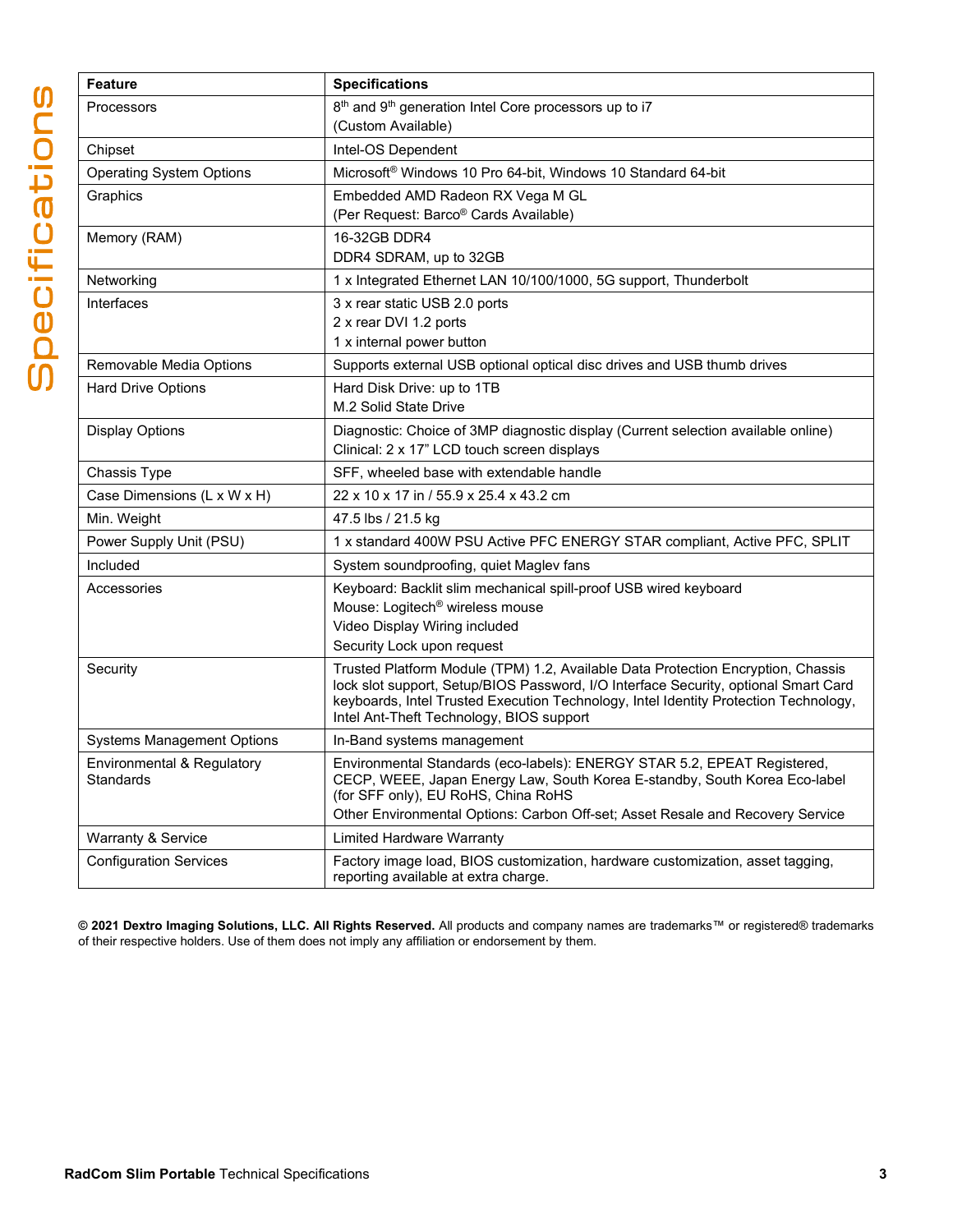| <b>Feature</b>                          | <b>Specifications</b>                                                                                                                                                                                                                                                                                       |
|-----------------------------------------|-------------------------------------------------------------------------------------------------------------------------------------------------------------------------------------------------------------------------------------------------------------------------------------------------------------|
| Processors                              | 8 <sup>th</sup> and 9 <sup>th</sup> generation Intel Core processors up to i7                                                                                                                                                                                                                               |
|                                         | (Custom Available)                                                                                                                                                                                                                                                                                          |
| Chipset                                 | Intel-OS Dependent                                                                                                                                                                                                                                                                                          |
| Operating System Options                | Microsoft <sup>®</sup> Windows 10 Pro 64-bit, Windows 10 Standard 64-bit                                                                                                                                                                                                                                    |
| Graphics                                | Embedded AMD Radeon RX Vega M GL                                                                                                                                                                                                                                                                            |
|                                         | (Per Request: Barco® Cards Available)                                                                                                                                                                                                                                                                       |
| Memory (RAM)                            | 16-32GB DDR4                                                                                                                                                                                                                                                                                                |
|                                         | DDR4 SDRAM, up to 32GB                                                                                                                                                                                                                                                                                      |
| Networking                              | 1 x Integrated Ethernet LAN 10/100/1000, 5G support, Thunderbolt                                                                                                                                                                                                                                            |
| Interfaces                              | 3 x rear static USB 2.0 ports                                                                                                                                                                                                                                                                               |
|                                         | 2 x rear DVI 1.2 ports                                                                                                                                                                                                                                                                                      |
|                                         | 1 x internal power button                                                                                                                                                                                                                                                                                   |
| Removable Media Options                 | Supports external USB optional optical disc drives and USB thumb drives                                                                                                                                                                                                                                     |
| <b>Hard Drive Options</b>               | Hard Disk Drive: up to 1TB                                                                                                                                                                                                                                                                                  |
|                                         | M.2 Solid State Drive                                                                                                                                                                                                                                                                                       |
| Display Options                         | Diagnostic: Choice of 3MP diagnostic display (Current selection available online)<br>Clinical: 2 x 17" LCD touch screen displays                                                                                                                                                                            |
| Chassis Type                            | SFF, wheeled base with extendable handle                                                                                                                                                                                                                                                                    |
| Case Dimensions (L x W x H)             | 22 x 10 x 17 in / 55.9 x 25.4 x 43.2 cm                                                                                                                                                                                                                                                                     |
| Min. Weight                             | 47.5 lbs / 21.5 kg                                                                                                                                                                                                                                                                                          |
| Power Supply Unit (PSU)                 | 1 x standard 400W PSU Active PFC ENERGY STAR compliant, Active PFC, SPLIT                                                                                                                                                                                                                                   |
| Included                                | System soundproofing, quiet Maglev fans                                                                                                                                                                                                                                                                     |
| Accessories                             | Keyboard: Backlit slim mechanical spill-proof USB wired keyboard                                                                                                                                                                                                                                            |
|                                         | Mouse: Logitech <sup>®</sup> wireless mouse                                                                                                                                                                                                                                                                 |
|                                         | Video Display Wiring included                                                                                                                                                                                                                                                                               |
|                                         | Security Lock upon request                                                                                                                                                                                                                                                                                  |
| Security                                | Trusted Platform Module (TPM) 1.2, Available Data Protection Encryption, Chassis<br>lock slot support, Setup/BIOS Password, I/O Interface Security, optional Smart Card<br>keyboards, Intel Trusted Execution Technology, Intel Identity Protection Technology,<br>Intel Ant-Theft Technology, BIOS support |
| Systems Management Options              | In-Band systems management                                                                                                                                                                                                                                                                                  |
| Environmental & Regulatory<br>Standards | Environmental Standards (eco-labels): ENERGY STAR 5.2, EPEAT Registered,<br>CECP, WEEE, Japan Energy Law, South Korea E-standby, South Korea Eco-label<br>(for SFF only), EU RoHS, China RoHS                                                                                                               |
|                                         | Other Environmental Options: Carbon Off-set; Asset Resale and Recovery Service                                                                                                                                                                                                                              |
| Warranty & Service                      | <b>Limited Hardware Warranty</b>                                                                                                                                                                                                                                                                            |
| <b>Configuration Services</b>           | Factory image load, BIOS customization, hardware customization, asset tagging,<br>reporting available at extra charge.                                                                                                                                                                                      |

**© 2021 Dextro Imaging Solutions, LLC. All Rights Reserved.** All products and company names are trademarks™ or registered® trademarks of their respective holders. Use of them does not imply any affiliation or endorsement by them.